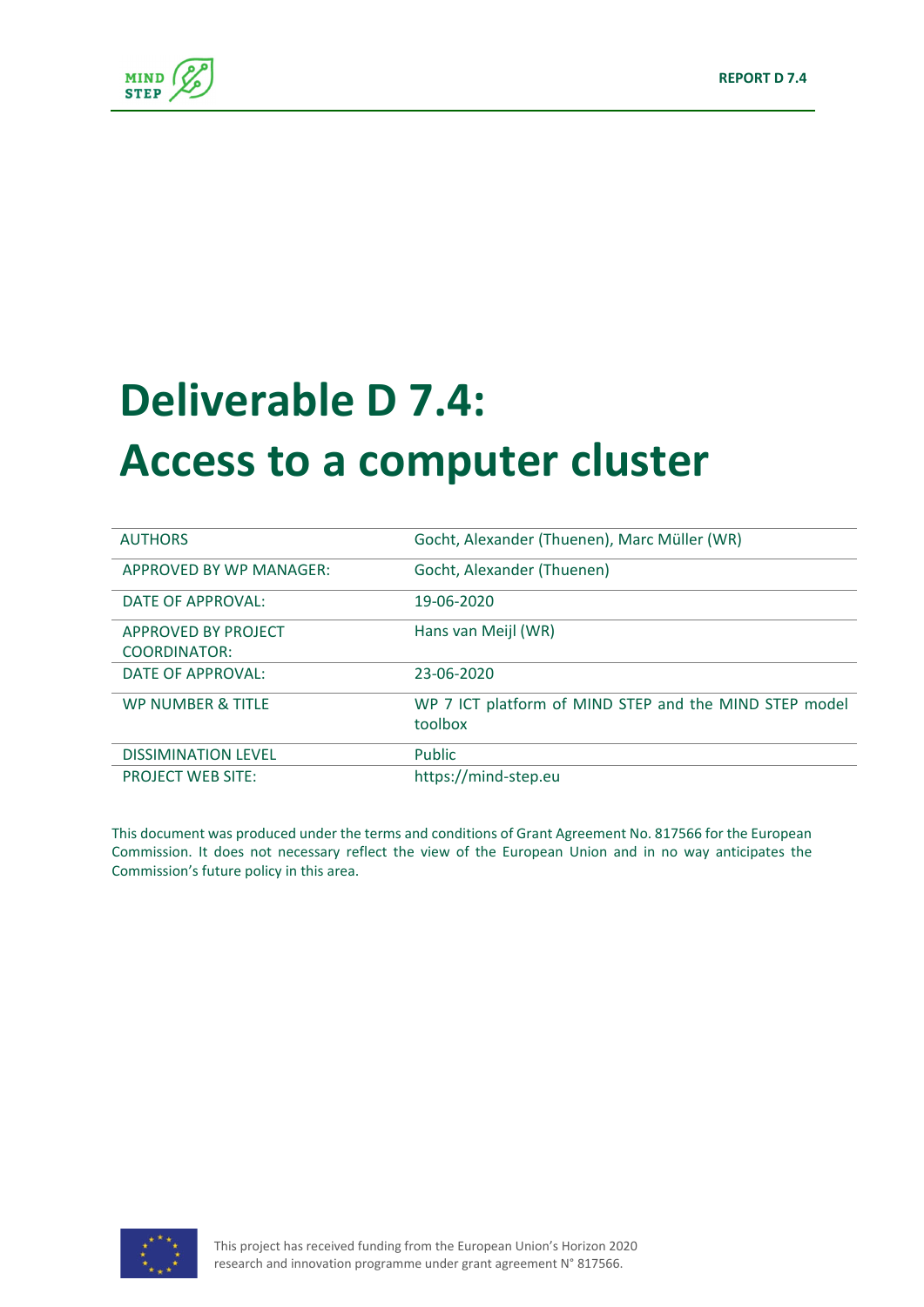

# **Deliverable D 7.4: Access to a computer cluster**

| <b>AUTHORS</b>               | Gocht, Alexander (Thuenen), Marc Müller (WR)           |
|------------------------------|--------------------------------------------------------|
| APPROVED BY WP MANAGER:      | Gocht, Alexander (Thuenen)                             |
| DATE OF APPROVAL:            | 19-06-2020                                             |
| APPROVED BY PROJECT          | Hans van Meijl (WR)                                    |
| <b>COORDINATOR:</b>          |                                                        |
| DATE OF APPROVAL:            | 23-06-2020                                             |
| <b>WP NUMBER &amp; TITLE</b> | WP 7 ICT platform of MIND STEP and the MIND STEP model |
|                              | toolbox                                                |
| <b>DISSIMINATION LEVEL</b>   | Public                                                 |
| <b>PROJECT WEB SITE:</b>     | https://mind-step.eu                                   |

This document was produced under the terms and conditions of Grant Agreement No. 817566 for the European Commission. It does not necessary reflect the view of the European Union and in no way anticipates the Commission's future policy in this area.

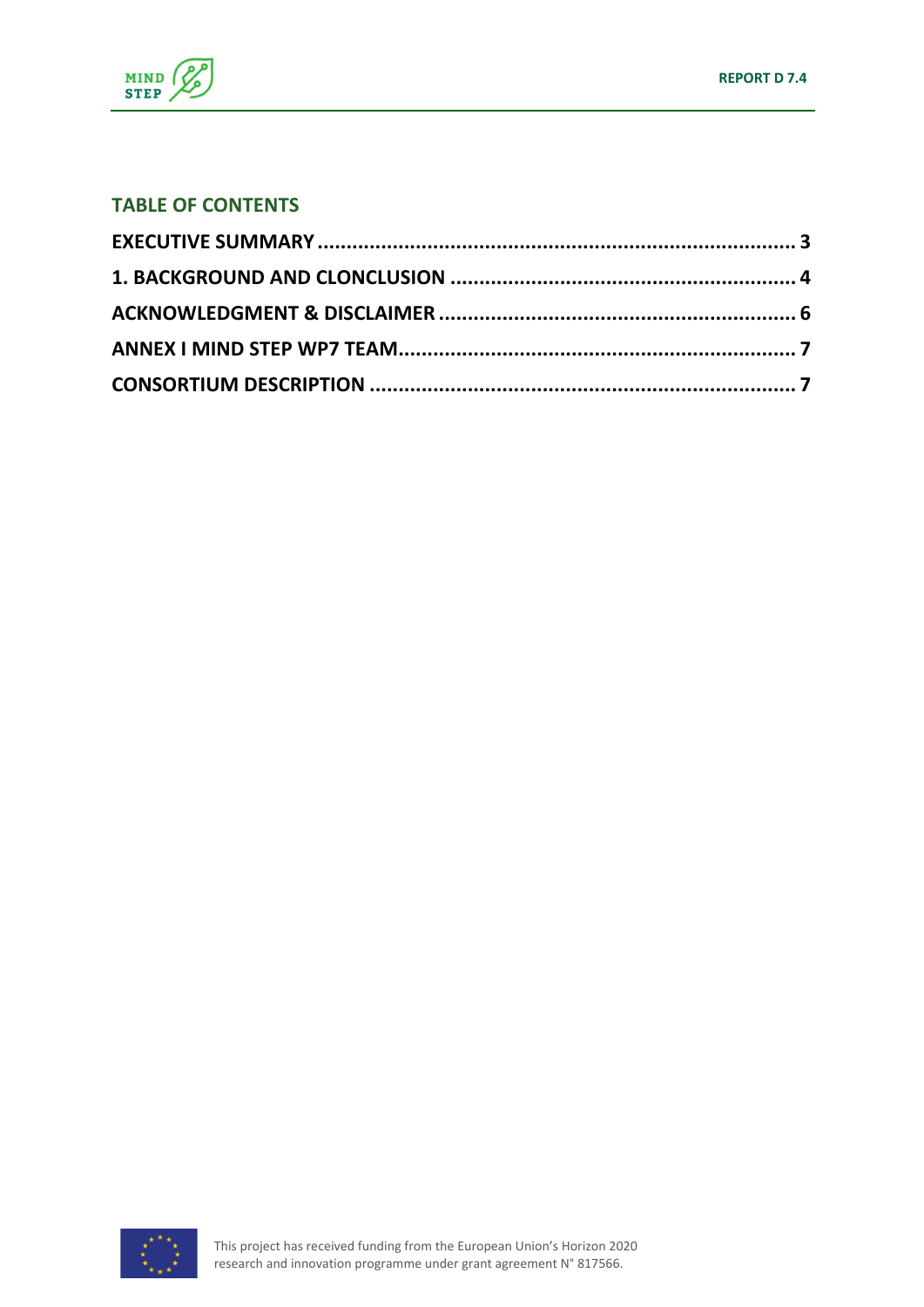

#### **TABLE OF CONTENTS**

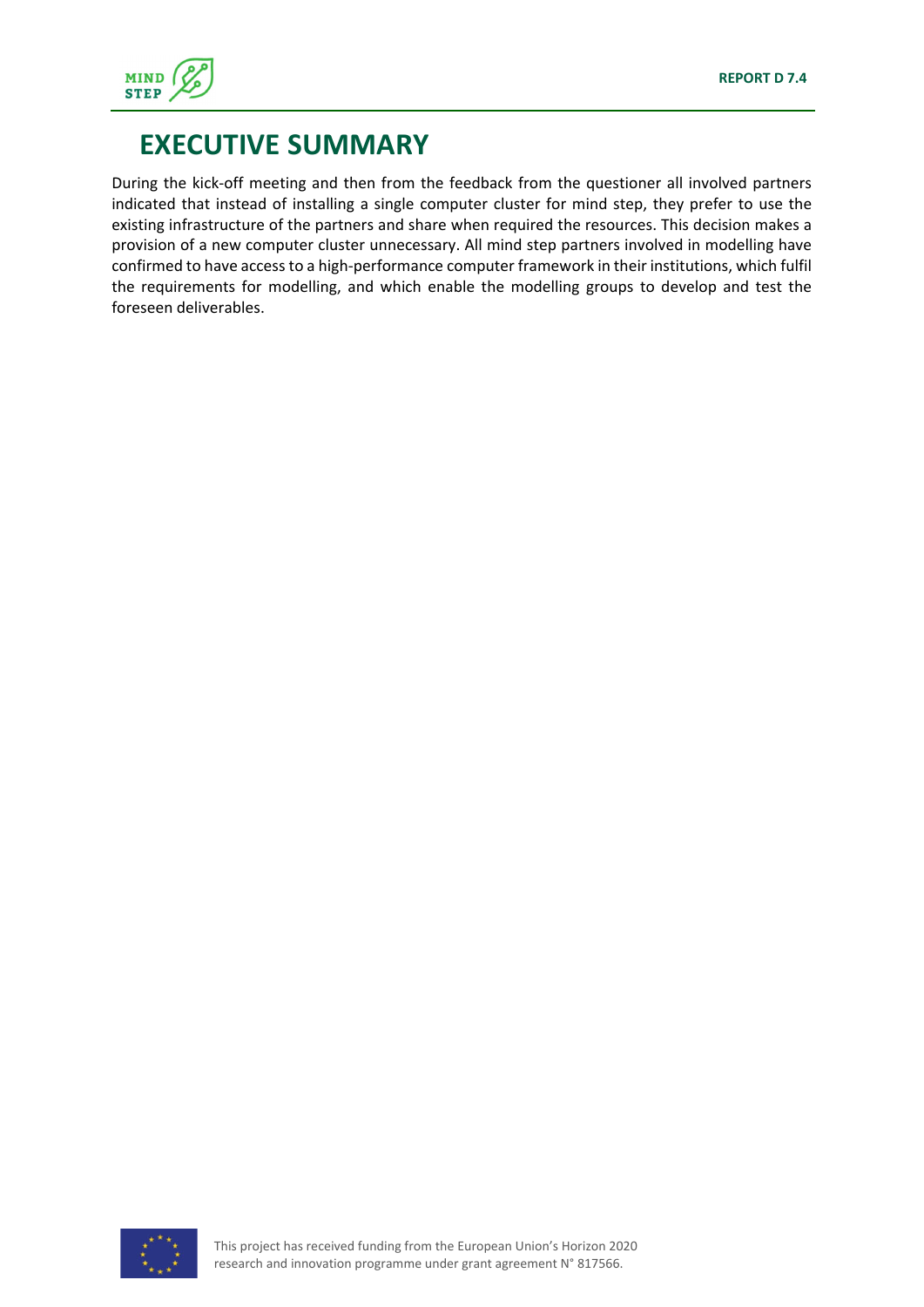

#### **EXECUTIVE SUMMARY**

During the kick‐off meeting and then from the feedback from the questioner all involved partners indicated that instead of installing a single computer cluster for mind step, they prefer to use the existing infrastructure of the partners and share when required the resources. This decision makes a provision of a new computer cluster unnecessary. All mind step partners involved in modelling have confirmed to have access to a high‐performance computer framework in their institutions, which fulfil the requirements for modelling, and which enable the modelling groups to develop and test the foreseen deliverables.

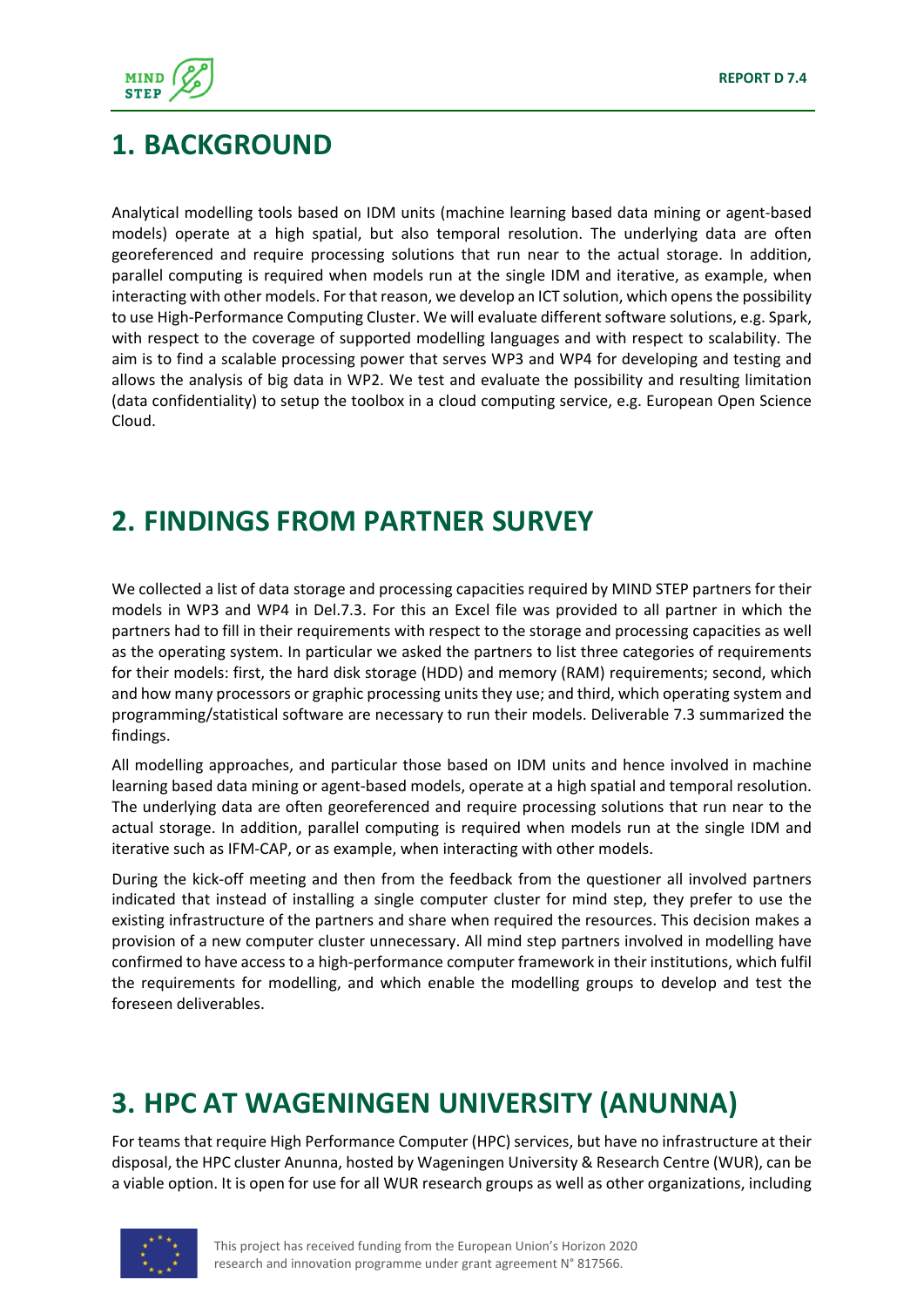

#### **1. BACKGROUND**

Analytical modelling tools based on IDM units (machine learning based data mining or agent‐based models) operate at a high spatial, but also temporal resolution. The underlying data are often georeferenced and require processing solutions that run near to the actual storage. In addition, parallel computing is required when models run at the single IDM and iterative, as example, when interacting with other models. For that reason, we develop an ICT solution, which opens the possibility to use High‐Performance Computing Cluster. We will evaluate different software solutions, e.g. Spark, with respect to the coverage of supported modelling languages and with respect to scalability. The aim is to find a scalable processing power that serves WP3 and WP4 for developing and testing and allows the analysis of big data in WP2. We test and evaluate the possibility and resulting limitation (data confidentiality) to setup the toolbox in a cloud computing service, e.g. European Open Science Cloud.

## **2. FINDINGS FROM PARTNER SURVEY**

We collected a list of data storage and processing capacities required by MIND STEP partners for their models in WP3 and WP4 in Del.7.3. For this an Excel file was provided to all partner in which the partners had to fill in their requirements with respect to the storage and processing capacities as well as the operating system. In particular we asked the partners to list three categories of requirements for their models: first, the hard disk storage (HDD) and memory (RAM) requirements; second, which and how many processors or graphic processing units they use; and third, which operating system and programming/statistical software are necessary to run their models. Deliverable 7.3 summarized the findings.

All modelling approaches, and particular those based on IDM units and hence involved in machine learning based data mining or agent‐based models, operate at a high spatial and temporal resolution. The underlying data are often georeferenced and require processing solutions that run near to the actual storage. In addition, parallel computing is required when models run at the single IDM and iterative such as IFM‐CAP, or as example, when interacting with other models.

During the kick‐off meeting and then from the feedback from the questioner all involved partners indicated that instead of installing a single computer cluster for mind step, they prefer to use the existing infrastructure of the partners and share when required the resources. This decision makes a provision of a new computer cluster unnecessary. All mind step partners involved in modelling have confirmed to have access to a high‐performance computer framework in their institutions, which fulfil the requirements for modelling, and which enable the modelling groups to develop and test the foreseen deliverables.

# **3. HPC AT WAGENINGEN UNIVERSITY (ANUNNA)**

For teams that require High Performance Computer (HPC) services, but have no infrastructure at their disposal, the HPC cluster Anunna, hosted by Wageningen University & Research Centre (WUR), can be a viable option. It is open for use for all WUR research groups as well as other organizations, including

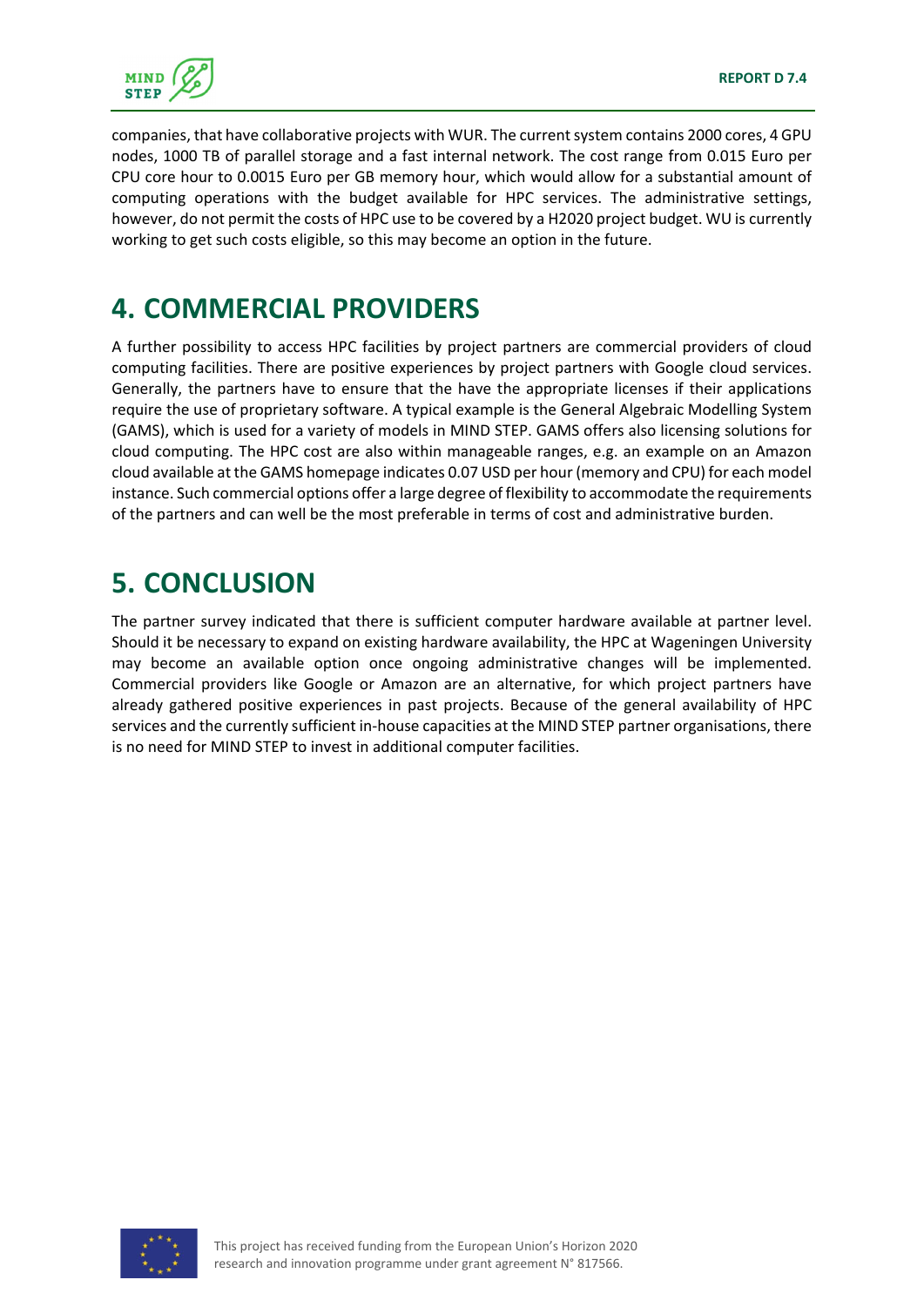

companies, that have collaborative projects with WUR. The current system contains 2000 cores, 4 GPU nodes, 1000 TB of parallel storage and a fast internal network. The cost range from 0.015 Euro per CPU core hour to 0.0015 Euro per GB memory hour, which would allow for a substantial amount of computing operations with the budget available for HPC services. The administrative settings, however, do not permit the costs of HPC use to be covered by a H2020 project budget. WU is currently working to get such costs eligible, so this may become an option in the future.

#### **4. COMMERCIAL PROVIDERS**

A further possibility to access HPC facilities by project partners are commercial providers of cloud computing facilities. There are positive experiences by project partners with Google cloud services. Generally, the partners have to ensure that the have the appropriate licenses if their applications require the use of proprietary software. A typical example is the General Algebraic Modelling System (GAMS), which is used for a variety of models in MIND STEP. GAMS offers also licensing solutions for cloud computing. The HPC cost are also within manageable ranges, e.g. an example on an Amazon cloud available at the GAMS homepage indicates 0.07 USD per hour (memory and CPU) for each model instance. Such commercial options offer a large degree of flexibility to accommodate the requirements of the partners and can well be the most preferable in terms of cost and administrative burden.

## **5. CONCLUSION**

The partner survey indicated that there is sufficient computer hardware available at partner level. Should it be necessary to expand on existing hardware availability, the HPC at Wageningen University may become an available option once ongoing administrative changes will be implemented. Commercial providers like Google or Amazon are an alternative, for which project partners have already gathered positive experiences in past projects. Because of the general availability of HPC services and the currently sufficient in-house capacities at the MIND STEP partner organisations, there is no need for MIND STEP to invest in additional computer facilities.

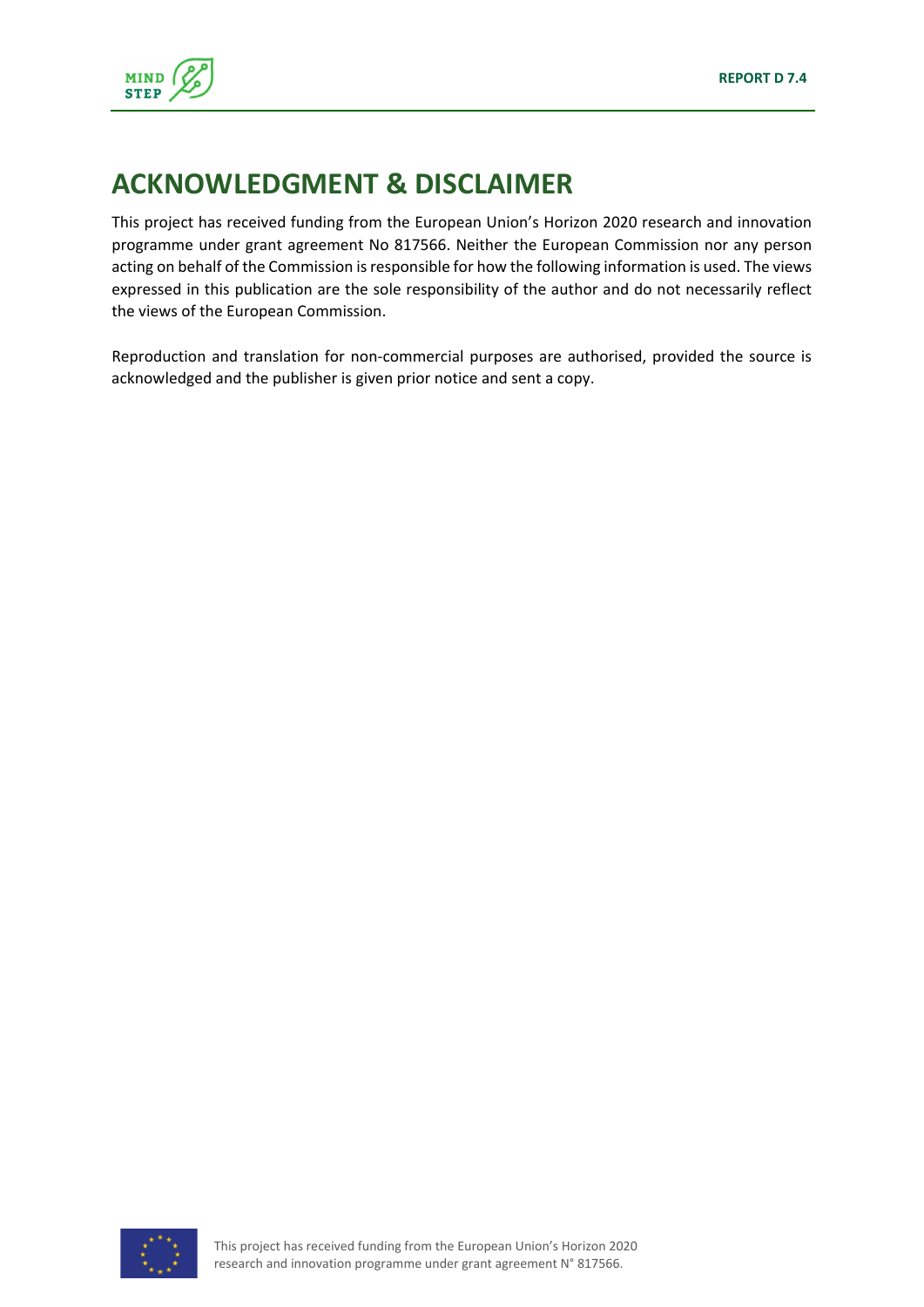

#### **ACKNOWLEDGMENT & DISCLAIMER**

This project has received funding from the European Union's Horizon 2020 research and innovation programme under grant agreement No 817566. Neither the European Commission nor any person acting on behalf of the Commission is responsible for how the following information is used. The views expressed in this publication are the sole responsibility of the author and do not necessarily reflect the views of the European Commission.

Reproduction and translation for non‐commercial purposes are authorised, provided the source is acknowledged and the publisher is given prior notice and sent a copy.